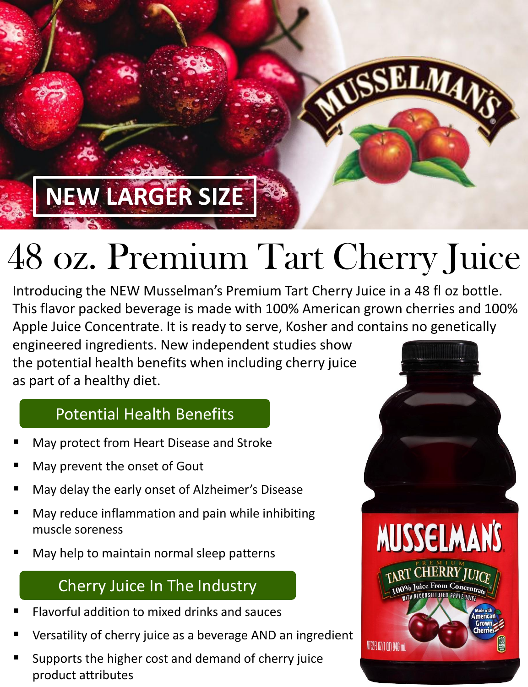## **NEW LARGER SIZE**

# 48 oz. Premium Tart Cherry Juice

Introducing the NEW Musselman's Premium Tart Cherry Juice in a 48 fl oz bottle. This flavor packed beverage is made with 100% American grown cherries and 100% Apple Juice Concentrate. It is ready to serve, Kosher and contains no genetically

engineered ingredients. New independent studies show the potential health benefits when including cherry juice as part of a healthy diet.

#### Potential Health Benefits

- May protect from Heart Disease and Stroke
- May prevent the onset of Gout
- May delay the early onset of Alzheimer's Disease
- May reduce inflammation and pain while inhibiting muscle soreness
- May help to maintain normal sleep patterns

### Cherry Juice In The Industry

- Flavorful addition to mixed drinks and sauces
- Versatility of cherry juice as a beverage AND an ingredient
- Supports the higher cost and demand of cherry juice product attributes